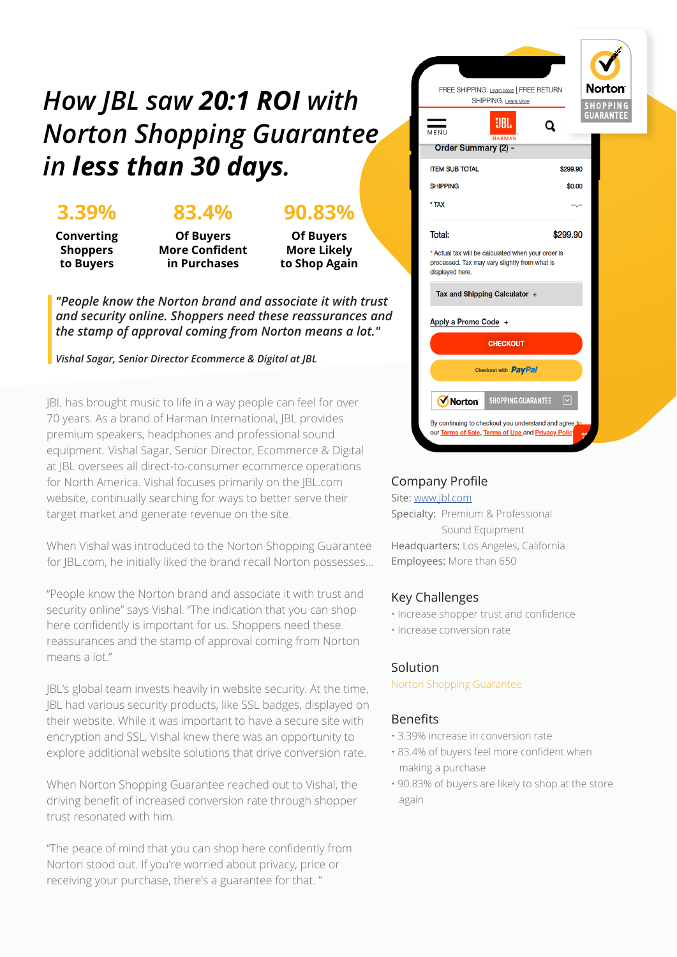## *How JBL saw 20:1 ROI with Norton Shopping Guarantee in less than 30 days.*

### **3.39%**

### **83.4%**

**Converting Shoppers to Buyers**

**Of Buyers More Confident in Purchases**

**Of Buyers More Likely to Shop Again**

**90.83%**

*"People know the Norton brand and associate it with trust and security online. Shoppers need these reassurances and the stamp of approval coming from Norton means a lot."*

*Vishal Sagar, Senior Director Ecommerce & Digital at JBL*

JBL has brought music to life in a way people can feel for over 70 years. As a brand of Harman International, JBL provides premium speakers, headphones and professional sound equipment. Vishal Sagar, Senior Director, Ecommerce & Digital at JBL oversees all direct-to-consumer ecommerce operations for North America. Vishal focuses primarily on the JBL.com website, continually searching for ways to better serve their target market and generate revenue on the site.

When Vishal was introduced to the Norton Shopping Guarantee for JBL.com, he initially liked the brand recall Norton possesses...

"People know the Norton brand and associate it with trust and security online" says Vishal. "The indication that you can shop here confidently is important for us. Shoppers need these reassurances and the stamp of approval coming from Norton means a lot."

JBL's global team invests heavily in website security. At the time, JBL had various security products, like SSL badges, displayed on their website. While it was important to have a secure site with encryption and SSL, Vishal knew there was an opportunity to explore additional website solutions that drive conversion rate.

When Norton Shopping Guarantee reached out to Vishal, the driving benefit of increased conversion rate through shopper trust resonated with him.

"The peace of mind that you can shop here confidently from Norton stood out. If you're worried about privacy, price or receiving your purchase, there's a guarantee for that. "



#### Company Profile

Site: [www.jbl.com](https://www.jbl.com) Specialty: Premium & Professional Sound Equipment Headquarters: Los Angeles, California Employees: More than 650

#### Key Challenges

- Increase shopper trust and confidence
- Increase conversion rate

#### Solution

Norton Shopping Guarantee

#### Benefits

- 3.39% increase in conversion rate
- 83.4% of buyers feel more confident when making a purchase
- 90.83% of buyers are likely to shop at the store again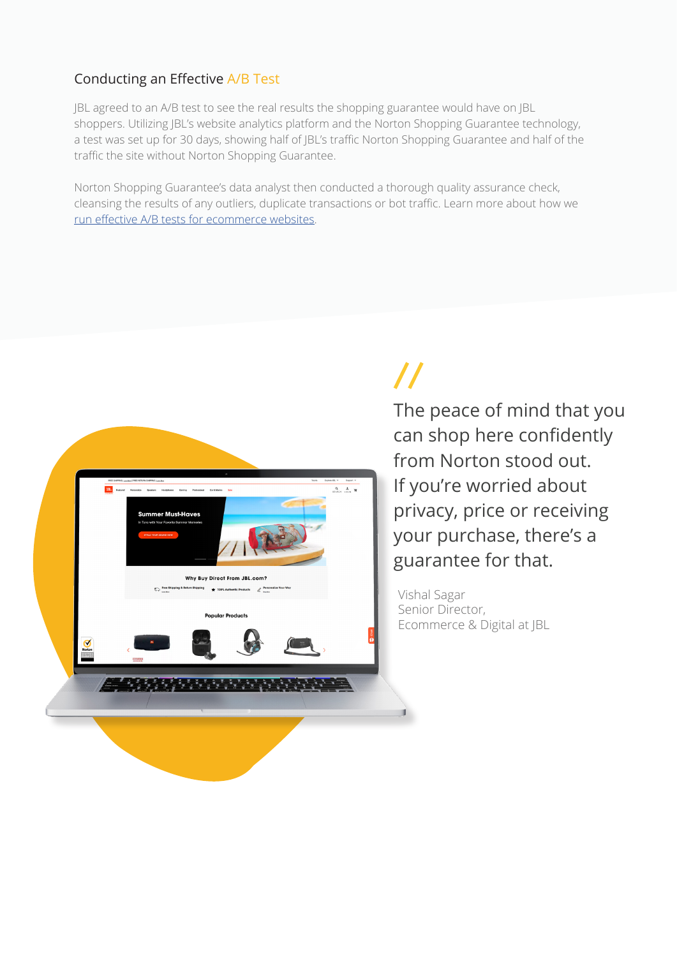#### Conducting an Effective A/B Test

JBL agreed to an A/B test to see the real results the shopping guarantee would have on JBL shoppers. Utilizing JBL's website analytics platform and the Norton Shopping Guarantee technology, a test was set up for 30 days, showing half of JBL's traffic Norton Shopping Guarantee and half of the traffic the site without Norton Shopping Guarantee.

Norton Shopping Guarantee's data analyst then conducted a thorough quality assurance check, cleansing the results of any outliers, duplicate transactions or bot traffic. Learn more about how we [run effective A/B tests for ecommerce websites](https://blog.buysafe.com/ab-test-ecommerce-website).



## $\boldsymbol{\mathcal{U}}$

The peace of mind that you can shop here confidently from Norton stood out. If you're worried about privacy, price or receiving your purchase, there's a guarantee for that.

Vishal Sagar Senior Director, Ecommerce & Digital at JBL